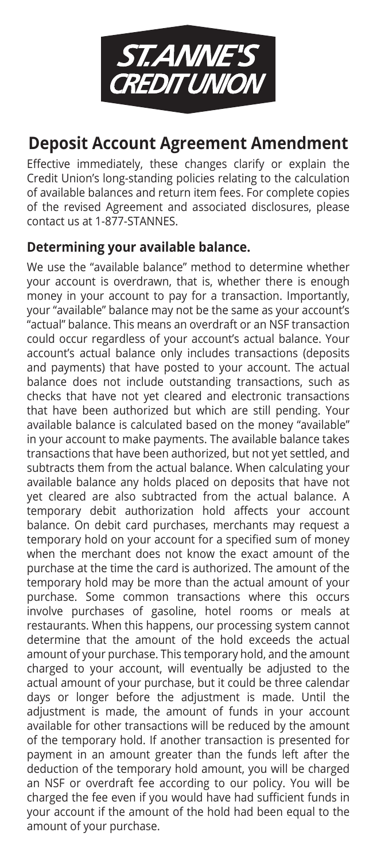

## **Deposit Account Agreement Amendment**

Effective immediately, these changes clarify or explain the Credit Union's long-standing policies relating to the calculation of available balances and return item fees. For complete copies of the revised Agreement and associated disclosures, please contact us at 1-877-STANNES.

#### **Determining your available balance.**

We use the "available balance" method to determine whether your account is overdrawn, that is, whether there is enough money in your account to pay for a transaction. Importantly, your "available" balance may not be the same as your account's "actual" balance. This means an overdraft or an NSF transaction could occur regardless of your account's actual balance. Your account's actual balance only includes transactions (deposits and payments) that have posted to your account. The actual balance does not include outstanding transactions, such as checks that have not yet cleared and electronic transactions that have been authorized but which are still pending. Your available balance is calculated based on the money "available" in your account to make payments. The available balance takes transactions that have been authorized, but not yet settled, and subtracts them from the actual balance. When calculating your available balance any holds placed on deposits that have not yet cleared are also subtracted from the actual balance. A temporary debit authorization hold affects your account balance. On debit card purchases, merchants may request a temporary hold on your account for a specified sum of money when the merchant does not know the exact amount of the purchase at the time the card is authorized. The amount of the temporary hold may be more than the actual amount of your purchase. Some common transactions where this occurs involve purchases of gasoline, hotel rooms or meals at restaurants. When this happens, our processing system cannot determine that the amount of the hold exceeds the actual amount of your purchase. This temporary hold, and the amount charged to your account, will eventually be adjusted to the actual amount of your purchase, but it could be three calendar days or longer before the adjustment is made. Until the adjustment is made, the amount of funds in your account available for other transactions will be reduced by the amount of the temporary hold. If another transaction is presented for payment in an amount greater than the funds left after the deduction of the temporary hold amount, you will be charged an NSF or overdraft fee according to our policy. You will be charged the fee even if you would have had sufficient funds in your account if the amount of the hold had been equal to the amount of your purchase.